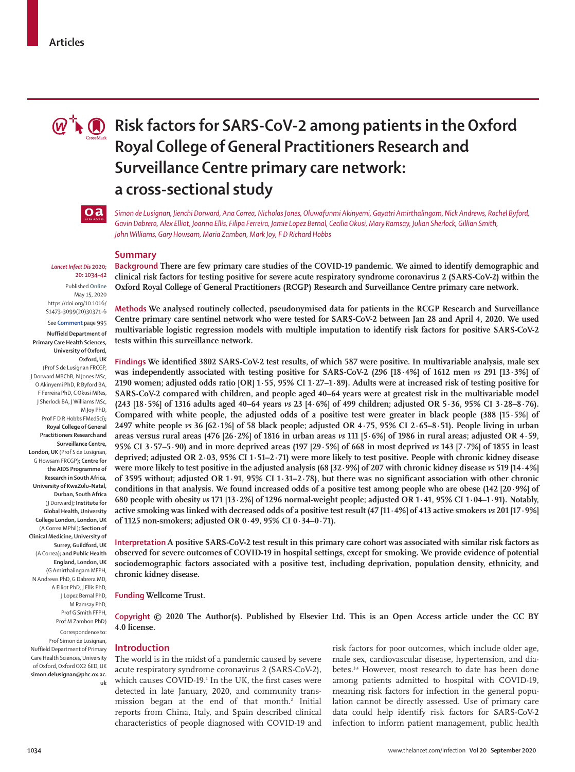

# **Risk factors for SARS-CoV-2 among patients in the Oxford Royal College of General Practitioners Research and Surveillance Centre primary care network: a cross-sectional study**

 $oa$ 

*Simon de Lusignan, Jienchi Dorward, Ana Correa, Nicholas Jones, Oluwafunmi Akinyemi, Gayatri Amirthalingam, Nick Andrews, Rachel Byford, Gavin Dabrera, Alex Elliot, Joanna Ellis, Filipa Ferreira, Jamie Lopez Bernal, Cecilia Okusi, Mary Ramsay, Julian Sherlock, Gillian Smith, John Williams, Gary Howsam, Maria Zambon, Mark Joy, F D Richard Hobbs*

## **Summary**

**Background There are few primary care studies of the COVID-19 pandemic. We aimed to identify demographic and clinical risk factors for testing positive for severe acute respiratory syndrome coronavirus 2 (SARS-CoV-2) within the Oxford Royal College of General Practitioners (RCGP) Research and Surveillance Centre primary care network.**

**Methods We analysed routinely collected, pseudonymised data for patients in the RCGP Research and Surveillance Centre primary care sentinel network who were tested for SARS-CoV-2 between Jan 28 and April 4, 2020. We used multivariable logistic regression models with multiple imputation to identify risk factors for positive SARS-CoV-2 tests within this surveillance network.**

**Findings We identified 3802 SARS-CoV-2 test results, of which 587 were positive. In multivariable analysis, male sex was independently associated with testing positive for SARS-CoV-2 (296 [18·4%] of 1612 men** *vs* **291 [13·3%] of 2190 women; adjusted odds ratio [OR] 1·55, 95% CI 1·27–1·89). Adults were at increased risk of testing positive for SARS-CoV-2 compared with children, and people aged 40–64 years were at greatest risk in the multivariable model (243 [18·5%] of 1316 adults aged 40–64 years** *vs* **23 [4·6%] of 499 children; adjusted OR 5·36, 95% CI 3·28–8·76). Compared with white people, the adjusted odds of a positive test were greater in black people (388 [15·5%] of 2497 white people** *vs* **36 [62·1%] of 58 black people; adjusted OR 4·75, 95% CI 2·65–8·51). People living in urban areas versus rural areas (476 [26·2%] of 1816 in urban areas** *vs* **111 [5·6%] of 1986 in rural areas; adjusted OR 4·59, 95% CI 3·57–5·90) and in more deprived areas (197 [29·5%] of 668 in most deprived** *vs* **143 [7·7%] of 1855 in least deprived; adjusted OR 2·03, 95% CI 1·51–2·71) were more likely to test positive. People with chronic kidney disease were more likely to test positive in the adjusted analysis (68 [32·9%] of 207 with chronic kidney disease** *vs* **519 [14·4%] of 3595 without; adjusted OR 1·91, 95% CI 1·31–2·78), but there was no significant association with other chronic conditions in that analysis. We found increased odds of a positive test among people who are obese (142 [20·9%] of 680 people with obesity** *vs* **171 [13·2%] of 1296 normal-weight people; adjusted OR 1·41, 95% CI 1·04–1·91). Notably, active smoking was linked with decreased odds of a positive test result (47 [11·4%] of 413 active smokers** *vs* **201 [17·9%] of 1125 non-smokers; adjusted OR 0·49, 95% CI 0·34–0·71).**

**Interpretation A positive SARS-CoV-2 test result in this primary care cohort was associated with similar risk factors as observed for severe outcomes of COVID-19 in hospital settings, except for smoking. We provide evidence of potential sociodemographic factors associated with a positive test, including deprivation, population density, ethnicity, and chronic kidney disease.**

**Funding Wellcome Trust.**

**Copyright © 2020 The Author(s). Published by Elsevier Ltd. This is an Open Access article under the CC BY 4.0 license.**

#### **Introduction**

The world is in the midst of a pandemic caused by severe acute respiratory syndrome coronavirus 2 (SARS-CoV-2), which causes COVID-19.1 In the UK, the first cases were detected in late January, 2020, and community transmission began at the end of that month.<sup>2</sup> Initial reports from China, Italy, and Spain described clinical characteristics of people diagnosed with COVID-19 and

risk factors for poor outcomes, which include older age, male sex, cardiovascular disease, hypertension, and diabetes.<sup>3,4</sup> However, most research to date has been done among patients admitted to hospital with COVID-19, meaning risk factors for infection in the general population cannot be directly assessed. Use of primary care data could help identify risk factors for SARS-CoV-2 infection to inform patient management, public health

#### *Lancet Infect Dis* **2020; 20: 1034–42**

Published **Online** May 15, 2020 https://doi.org/10.1016/ S1473-3099(20)30371-6

See **Comment** page 995

**Nuffield Department of Primary Care Health Sciences, University of Oxford, Oxford, UK** (Prof S de Lusignan FRCGP, J Dorward MBChB, N Jones MSc, O Akinyemi PhD, R Byford BA, F Ferreira PhD, C Okusi MRes, J Sherlock BA, J Williams MSc, M Joy PhD, Prof F D R Hobbs FMedSci)**; Royal College of General Practitioners Research and Surveillance Centre, London, UK** (Prof S de Lusignan, G Howsam FRCGP)**; Centre for the AIDS Programme of Research in South Africa, University of KwaZulu–Natal, Durban, South Africa**  (J Dorward)**; Institute for Global Health, University College London, London, UK**  (A Correa MPhil)**; Section of Clinical Medicine, University of Surrey, Guildford, UK**  (A Correa)**; and Public Health England, London, UK**  (G Amirthalingam MFPH, N Andrews PhD, G Dabrera MD, A Elliot PhD, J Ellis PhD, J Lopez Bernal PhD, M Ramsay PhD, Prof G Smith FFPH, Prof M Zambon PhD) Correspondence to:

Prof Simon de Lusignan, Nuffield Department of Primary Care Health Sciences, University of Oxford, Oxford OX2 6ED, UK **simon.delusignan@phc.ox.ac. uk**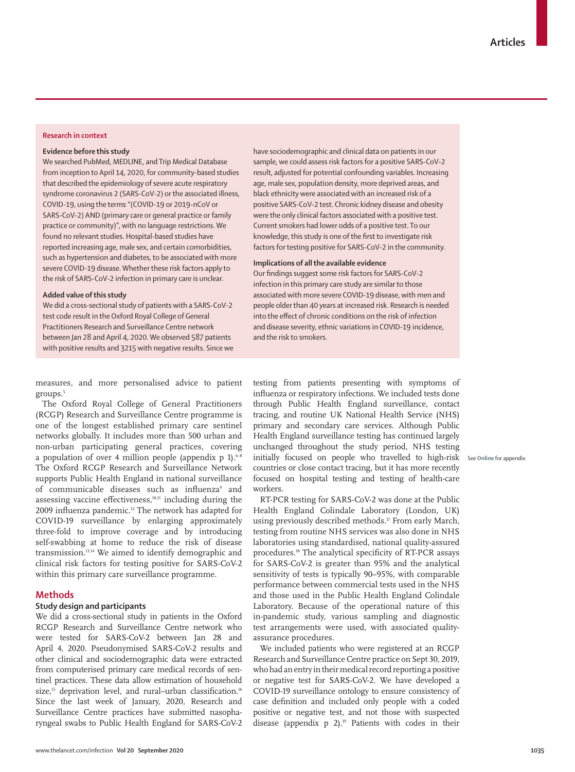## **Research in context**

## **Evidence before this study**

We searched PubMed, MEDLINE, and Trip Medical Database from inception to April 14, 2020, for community-based studies that described the epidemiology of severe acute respiratory syndrome coronavirus 2 (SARS-CoV-2) or the associated illness, COVID-19, using the terms "(COVID-19 or 2019-nCoV or SARS-CoV-2) AND (primary care or general practice or family practice or community)", with no language restrictions. We found no relevant studies. Hospital-based studies have reported increasing age, male sex, and certain comorbidities, such as hypertension and diabetes, to be associated with more severe COVID-19 disease. Whether these risk factors apply to the risk of SARS-CoV-2 infection in primary care is unclear.

#### **Added value of this study**

We did a cross-sectional study of patients with a SARS-CoV-2 test code result in the Oxford Royal College of General Practitioners Research and Surveillance Centre network between Jan 28 and April 4, 2020. We observed 587 patients with positive results and 3215 with negative results. Since we have sociodemographic and clinical data on patients in our sample, we could assess risk factors for a positive SARS-CoV-2 result, adjusted for potential confounding variables. Increasing age, male sex, population density, more deprived areas, and black ethnicity were associated with an increased risk of a positive SARS-CoV-2 test. Chronic kidney disease and obesity were the only clinical factors associated with a positive test. Current smokers had lower odds of a positive test. To our knowledge, this study is one of the first to investigate risk factors for testing positive for SARS-CoV-2 in the community.

## **Implications of all the available evidence**

Our findings suggest some risk factors for SARS-CoV-2 infection in this primary care study are similar to those associated with more severe COVID-19 disease, with men and people older than 40 years at increased risk. Research is needed into the effect of chronic conditions on the risk of infection and disease severity, ethnic variations in COVID-19 incidence, and the risk to smokers.

measures, and more personalised advice to patient groups.<sup>5</sup>

The Oxford Royal College of General Practitioners (RCGP) Research and Surveillance Centre programme is one of the longest established primary care sentinel networks globally. It includes more than 500 urban and non-urban participating general practices, covering a population of over 4 million people (appendix p 1).<sup>6-8</sup> The Oxford RCGP Research and Surveillance Network supports Public Health England in national surveillance of communicable diseases such as influenza<sup>9</sup> and assessing vaccine effectiveness, $10,11$  including during the 2009 influenza pandemic.<sup>12</sup> The network has adapted for COVID-19 surveillance by enlarging approximately three-fold to improve coverage and by introducing self-swabbing at home to reduce the risk of disease transmission.13,14 We aimed to identify demographic and clinical risk factors for testing positive for SARS-CoV-2 within this primary care surveillance programme.

## **Methods**

## **Study design and participants**

We did a cross-sectional study in patients in the Oxford RCGP Research and Surveillance Centre network who were tested for SARS-CoV-2 between Jan 28 and April 4, 2020. Pseudonymised SARS-CoV-2 results and other clinical and sociodemographic data were extracted from computerised primary care medical records of sentinel practices. These data allow estimation of household size,<sup>15</sup> deprivation level, and rural–urban classification.<sup>16</sup> Since the last week of January, 2020, Research and Surveillance Centre practices have submitted nasopharyngeal swabs to Public Health England for SARS-CoV-2 testing from patients presenting with symptoms of influenza or respiratory infections. We included tests done through Public Health England surveillance, contact tracing, and routine UK National Health Service (NHS) primary and secondary care services. Although Public Health England surveillance testing has continued largely unchanged throughout the study period, NHS testing initially focused on people who travelled to high-risk See **Online** for appendix countries or close contact tracing, but it has more recently focused on hospital testing and testing of health-care workers.

RT-PCR testing for SARS-CoV-2 was done at the Public Health England Colindale Laboratory (London, UK) using previously described methods.<sup>17</sup> From early March, testing from routine NHS services was also done in NHS laboratories using standardised, national quality-assured procedures.18 The analytical specificity of RT-PCR assays for SARS-CoV-2 is greater than 95% and the analytical sensitivity of tests is typically 90–95%, with comparable performance between commercial tests used in the NHS and those used in the Public Health England Colindale Laboratory. Because of the operational nature of this in-pandemic study, various sampling and diagnostic test arrangements were used, with associated qualityassurance procedures.

We included patients who were registered at an RCGP Research and Surveillance Centre practice on Sept 30, 2019, who had an entry in their medical record reporting a positive or negative test for SARS-CoV-2. We have developed a COVID-19 surveillance ontology to ensure consistency of case definition and included only people with a coded positive or negative test, and not those with suspected disease (appendix  $p$  2).<sup>19</sup> Patients with codes in their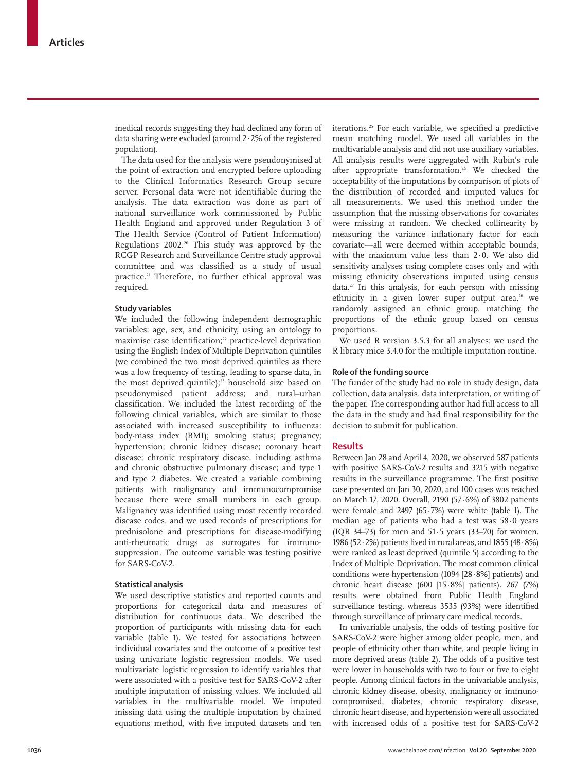medical records suggesting they had declined any form of data sharing were excluded (around 2·2% of the registered population).

The data used for the analysis were pseudonymised at the point of extraction and encrypted before uploading to the Clinical Informatics Research Group secure server. Personal data were not identifiable during the analysis. The data extraction was done as part of national surveillance work commissioned by Public Health England and approved under Regulation 3 of The Health Service (Control of Patient Information) Regulations 2002. 20 This study was approved by the RCGP Research and Surveillance Centre study approval committee and was classified as a study of usual practice.<sup>21</sup> Therefore, no further ethical approval was required.

## **Study variables**

We included the following independent demographic variables: age, sex, and ethnicity, using an ontology to maximise case identification;<sup>22</sup> practice-level deprivation using the English Index of Multiple Deprivation quintiles (we combined the two most deprived quintiles as there was a low frequency of testing, leading to sparse data, in the most deprived quintile); $^{23}$  household size based on pseudonymised patient address; and rural–urban classification. We included the latest recording of the following clinical variables, which are similar to those associated with increased susceptibility to influenza: body-mass index (BMI); smoking status; pregnancy; hypertension; chronic kidney disease; coronary heart disease; chronic respiratory disease, including asthma and chronic obstructive pulmonary disease; and type 1 and type 2 diabetes. We created a variable combining patients with malignancy and immunocompromise because there were small numbers in each group. Malignancy was identified using most recently recorded disease codes, and we used records of prescriptions for prednisolone and prescriptions for disease-modifying anti-rheumatic drugs as surrogates for immunosuppression. The outcome variable was testing positive for SARS-CoV-2.

#### **Statistical analysis**

We used descriptive statistics and reported counts and proportions for categorical data and measures of distribution for continuous data. We described the proportion of participants with missing data for each variable (table 1). We tested for associations between individual covariates and the outcome of a positive test using univariate logistic regression models. We used multivariate logistic regression to identify variables that were associated with a positive test for SARS-CoV-2 after multiple imputation of missing values. We included all variables in the multivariable model. We imputed missing data using the multiple imputation by chained equations method, with five imputed datasets and ten iterations.25 For each variable, we specified a predictive mean matching model. We used all variables in the multivariable analysis and did not use auxiliary variables. All analysis results were aggregated with Rubin's rule after appropriate transformation.<sup>26</sup> We checked the acceptability of the imputations by comparison of plots of the distribution of recorded and imputed values for all measurements. We used this method under the assumption that the missing observations for covariates were missing at random. We checked collinearity by measuring the variance inflationary factor for each covariate—all were deemed within acceptable bounds, with the maximum value less than 2·0. We also did sensitivity analyses using complete cases only and with missing ethnicity observations imputed using census data. $^{27}$  In this analysis, for each person with missing ethnicity in a given lower super output area, $28$  we randomly assigned an ethnic group, matching the proportions of the ethnic group based on census proportions.

We used R version 3.5.3 for all analyses; we used the R library mice 3.4.0 for the multiple imputation routine.

#### **Role of the funding source**

The funder of the study had no role in study design, data collection, data analysis, data interpretation, or writing of the paper. The corresponding author had full access to all the data in the study and had final responsibility for the decision to submit for publication.

## **Results**

Between Jan 28 and April 4, 2020, we observed 587 patients with positive SARS-CoV-2 results and 3215 with negative results in the surveillance programme. The first positive case presented on Jan 30, 2020, and 100 cases was reached on March 17, 2020. Overall, 2190 (57·6%) of 3802 patients were female and 2497 (65 $\cdot$ 7%) were white (table 1). The median age of patients who had a test was 58·0 years  $(IOR 34–73)$  for men and  $51.5$  years  $(33–70)$  for women. 1986 (52 $\cdot$ 2%) patients lived in rural areas, and 1855 (48 $\cdot$ 8%) were ranked as least deprived (quintile 5) according to the Index of Multiple Deprivation. The most common clinical conditions were hypertension (1094 [28·8%] patients) and chronic heart disease (600 [15·8%] patients). 267 (7%) results were obtained from Public Health England surveillance testing, whereas 3535 (93%) were identified through surveillance of primary care medical records.

In univariable analysis, the odds of testing positive for SARS-CoV-2 were higher among older people, men, and people of ethnicity other than white, and people living in more deprived areas (table 2). The odds of a positive test were lower in households with two to four or five to eight people. Among clinical factors in the univariable analysis, chronic kidney disease, obesity, malignancy or immunocompromised, diabetes, chronic respiratory disease, chronic heart disease, and hypertension were all associated with increased odds of a positive test for SARS-CoV-2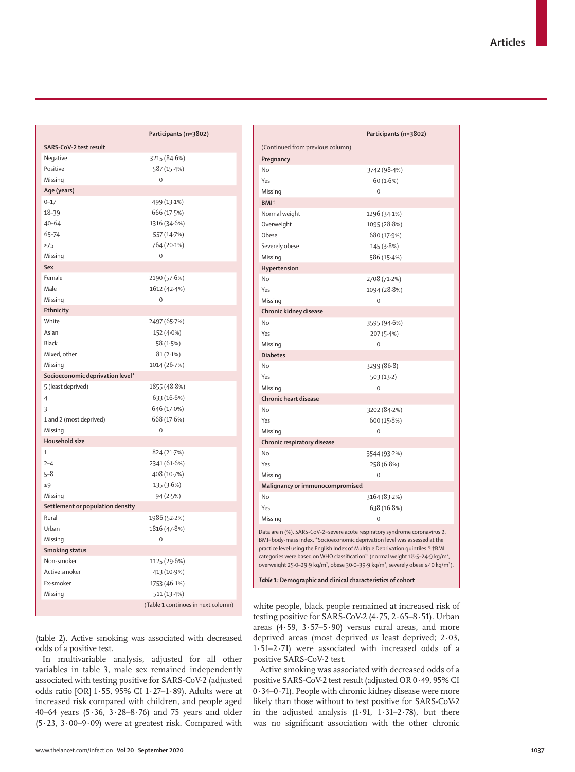|                                  | Participants (n=3802)              |
|----------------------------------|------------------------------------|
| SARS-CoV-2 test result           |                                    |
| Negative                         | 3215 (84.6%)                       |
| Positive                         | 587 (15.4%)                        |
| Missing                          | $\mathbf 0$                        |
| Age (years)                      |                                    |
| $0 - 17$                         | 499 (13.1%)                        |
| 18-39                            | 666 (17.5%)                        |
| $40 - 64$                        | 1316 (34.6%)                       |
| 65-74                            | 557 (14.7%)                        |
| $\geq$ 75                        | 764 (20.1%)                        |
| Missing                          | $\mathbf 0$                        |
| Sex                              |                                    |
| Female                           | 2190 (57.6%)                       |
| Male                             | 1612 (42-4%)                       |
| Missing                          | $\mathbf 0$                        |
| Ethnicity                        |                                    |
| White                            | 2497 (65.7%)                       |
| Asian                            | 152 (4.0%)                         |
| Black                            | 58 (1.5%)                          |
| Mixed, other                     | 81(2.1%)                           |
| Missing                          | 1014 (26.7%)                       |
| Socioeconomic deprivation level* |                                    |
| 5 (least deprived)               | 1855 (48.8%)                       |
| $\overline{4}$                   | 633 (16.6%)                        |
| 3                                | 646 (17.0%)                        |
| 1 and 2 (most deprived)          | 668 (17.6%)                        |
| Missing                          | $\mathbf 0$                        |
| <b>Household size</b>            |                                    |
| $\mathbf{1}$                     | 824 (21.7%)                        |
| $2 - 4$                          | 2341 (61.6%)                       |
| $5 - 8$                          | 408 (10.7%)                        |
| $\geq 9$                         | 135 (3.6%)                         |
| Missing                          | 94(2.5%)                           |
| Settlement or population density |                                    |
| Rural                            | 1986 (52.2%)                       |
| Urban                            | 1816 (47.8%)                       |
| Missing                          | $\mathbf 0$                        |
| <b>Smoking status</b>            |                                    |
| Non-smoker                       | 1125 (29.6%)                       |
| Active smoker                    | 413 (10.9%)                        |
| Ex-smoker                        | 1753 (46.1%)                       |
| Missing                          | 511 (13-4%)                        |
|                                  | (Table 1 continues in next column) |

|                                                                                                                                                                                                                                                                                                                                                                                                                                                                                            | Participants (n=3802) |  |
|--------------------------------------------------------------------------------------------------------------------------------------------------------------------------------------------------------------------------------------------------------------------------------------------------------------------------------------------------------------------------------------------------------------------------------------------------------------------------------------------|-----------------------|--|
| (Continued from previous column)                                                                                                                                                                                                                                                                                                                                                                                                                                                           |                       |  |
| Pregnancy                                                                                                                                                                                                                                                                                                                                                                                                                                                                                  |                       |  |
| No                                                                                                                                                                                                                                                                                                                                                                                                                                                                                         | 3742 (98.4%)          |  |
| Yes                                                                                                                                                                                                                                                                                                                                                                                                                                                                                        | 60 (1.6%)             |  |
| Missing                                                                                                                                                                                                                                                                                                                                                                                                                                                                                    | $\Omega$              |  |
| BMI <sup>+</sup>                                                                                                                                                                                                                                                                                                                                                                                                                                                                           |                       |  |
| Normal weight                                                                                                                                                                                                                                                                                                                                                                                                                                                                              | 1296 (34.1%)          |  |
| Overweight                                                                                                                                                                                                                                                                                                                                                                                                                                                                                 | 1095 (28.8%)          |  |
| Obese                                                                                                                                                                                                                                                                                                                                                                                                                                                                                      | 680 (17.9%)           |  |
| Severely obese                                                                                                                                                                                                                                                                                                                                                                                                                                                                             | 145 (3.8%)            |  |
| Missing                                                                                                                                                                                                                                                                                                                                                                                                                                                                                    | 586 (15.4%)           |  |
| Hypertension                                                                                                                                                                                                                                                                                                                                                                                                                                                                               |                       |  |
| No                                                                                                                                                                                                                                                                                                                                                                                                                                                                                         | 2708 (71.2%)          |  |
| Yes                                                                                                                                                                                                                                                                                                                                                                                                                                                                                        | 1094 (28.8%)          |  |
| Missing                                                                                                                                                                                                                                                                                                                                                                                                                                                                                    | $\Omega$              |  |
| Chronic kidney disease                                                                                                                                                                                                                                                                                                                                                                                                                                                                     |                       |  |
| No                                                                                                                                                                                                                                                                                                                                                                                                                                                                                         | 3595 (94.6%)          |  |
| Yes                                                                                                                                                                                                                                                                                                                                                                                                                                                                                        | 207 (5.4%)            |  |
| Missing                                                                                                                                                                                                                                                                                                                                                                                                                                                                                    | $\mathbf 0$           |  |
| <b>Diabetes</b>                                                                                                                                                                                                                                                                                                                                                                                                                                                                            |                       |  |
| No                                                                                                                                                                                                                                                                                                                                                                                                                                                                                         | 3299 (86-8)           |  |
| Yes                                                                                                                                                                                                                                                                                                                                                                                                                                                                                        | 503(13.2)             |  |
| Missing                                                                                                                                                                                                                                                                                                                                                                                                                                                                                    | $\Omega$              |  |
| Chronic heart disease                                                                                                                                                                                                                                                                                                                                                                                                                                                                      |                       |  |
| No                                                                                                                                                                                                                                                                                                                                                                                                                                                                                         | 3202 (84.2%)          |  |
| Yes                                                                                                                                                                                                                                                                                                                                                                                                                                                                                        | 600 (15.8%)           |  |
| Missing                                                                                                                                                                                                                                                                                                                                                                                                                                                                                    | $\Omega$              |  |
| Chronic respiratory disease                                                                                                                                                                                                                                                                                                                                                                                                                                                                |                       |  |
| No                                                                                                                                                                                                                                                                                                                                                                                                                                                                                         | 3544 (93.2%)          |  |
| Yes                                                                                                                                                                                                                                                                                                                                                                                                                                                                                        | 258 (6.8%)            |  |
| Missing                                                                                                                                                                                                                                                                                                                                                                                                                                                                                    | $\mathbf 0$           |  |
| Malignancy or immunocompromised                                                                                                                                                                                                                                                                                                                                                                                                                                                            |                       |  |
| <b>No</b>                                                                                                                                                                                                                                                                                                                                                                                                                                                                                  | 3164 (83.2%)          |  |
| Yes                                                                                                                                                                                                                                                                                                                                                                                                                                                                                        | 638 (16.8%)           |  |
| Missing                                                                                                                                                                                                                                                                                                                                                                                                                                                                                    | $\Omega$              |  |
| Data are n (%). SARS-CoV-2=severe acute respiratory syndrome coronavirus 2.<br>BMI=body-mass index. *Socioeconomic deprivation level was assessed at the<br>practice level using the English Index of Multiple Deprivation quintiles. <sup>23</sup> †BMI<br>categories were based on WHO classification <sup>24</sup> (normal weight 18-5-24-9 kg/m <sup>2</sup> ,<br>overweight 25·0-29·9 kg/m <sup>2</sup> , obese 30·0-39·9 kg/m <sup>2</sup> , severely obese ≥40 kg/m <sup>2</sup> ). |                       |  |
| Table 1: Demographic and clinical characteristics of cohort                                                                                                                                                                                                                                                                                                                                                                                                                                |                       |  |

(table 2). Active smoking was associated with decreased odds of a positive test.

In multivariable analysis, adjusted for all other variables in table 3, male sex remained independently associated with testing positive for SARS-CoV-2 (adjusted odds ratio [OR] 1·55, 95% CI 1·27–1·89). Adults were at increased risk compared with children, and people aged 40–64 years (5·36, 3·28–8·76) and 75 years and older  $(5.23, 3.00-9.09)$  were at greatest risk. Compared with white people, black people remained at increased risk of testing positive for SARS-CoV-2 (4·75, 2·65–8·51). Urban areas  $(4.59, 3.57-5.90)$  versus rural areas, and more deprived areas (most deprived *vs* least deprived; 2·03, 1·51–2·71) were associated with increased odds of a positive SARS-CoV-2 test.

Active smoking was associated with decreased odds of a positive SARS-CoV-2 test result (adjusted OR 0·49, 95% CI 0·34–0·71). People with chronic kidney disease were more likely than those without to test positive for SARS-CoV-2 in the adjusted analysis  $(1.91, 1.31-2.78)$ , but there was no significant association with the other chronic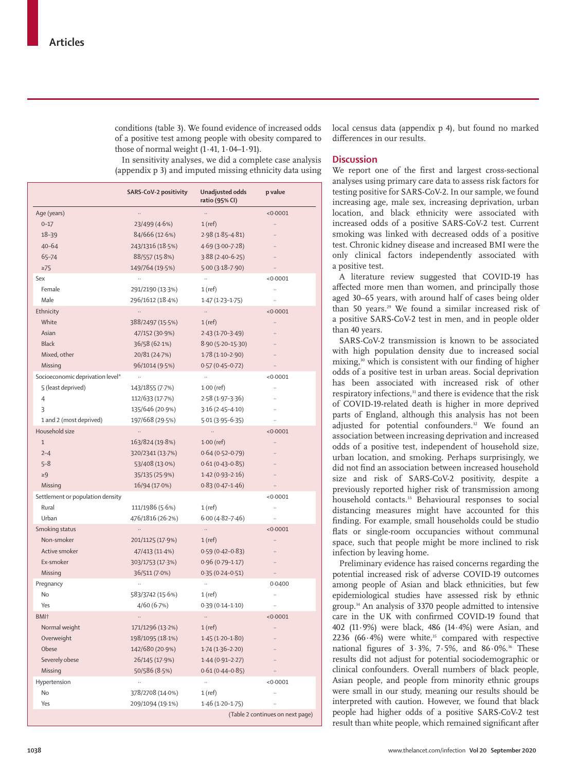conditions (table 3). We found evidence of increased odds of a positive test among people with obesity compared to those of normal weight  $(1.41, 1.04-1.91)$ .

local census data (appendix p 4), but found no marked differences in our results.

In sensitivity analyses, we did a complete case analysis (appendix p 3) and imputed missing ethnicity data using

|                                  | <b>SARS-CoV-2 positivity</b> | Unadjusted odds<br>ratio (95% CI) | p value                          |
|----------------------------------|------------------------------|-----------------------------------|----------------------------------|
| Age (years)                      |                              |                                   | < 0.0001                         |
| $0 - 17$                         | 23/499 (4.6%)                | $1$ (ref)                         | Ω.                               |
| $18 - 39$                        | 84/666 (12.6%)               | $2.98(1.85 - 4.81)$               |                                  |
| $40 - 64$                        | 243/1316 (18.5%)             | $4.69(3.00 - 7.28)$               |                                  |
| $65 - 74$                        | 88/557 (15.8%)               | $3.88(2.40-6.25)$                 |                                  |
| $\geq 75$                        | 149/764 (19.5%)              | $5.00(3.18 - 7.90)$               |                                  |
| Sex                              |                              |                                   | < 0.0001                         |
| Female                           | 291/2190 (13.3%)             | 1 (ref)                           |                                  |
| Male                             | 296/1612 (18.4%)             | $1.47(1.23 - 1.75)$               |                                  |
| Ethnicity                        | $\ddotsc$                    | $\ldots$                          | < 0.0001                         |
| White                            | 388/2497 (15.5%)             | $1$ (ref)                         |                                  |
| Asian                            | 47/152 (30.9%)               | $2.43(1.70-3.49)$                 |                                  |
| <b>Black</b>                     | 36/58(62.1%)                 | $8.90(5.20 - 15.30)$              |                                  |
| Mixed, other                     | 20/81 (24.7%)                | $1.78(1.10-2.90)$                 |                                  |
| Missing                          | 96/1014 (9.5%)               | $0.57(0.45 - 0.72)$               |                                  |
| Socioeconomic deprivation level* |                              |                                   | < 0.0001                         |
| 5 (least deprived)               | 143/1855 (7.7%)              | $1.00$ (ref)                      | ä.                               |
| $\overline{4}$                   | 112/633 (17.7%)              | $2.58(1.97-3.36)$                 |                                  |
| 3                                | 135/646 (20-9%)              | $3.16(2.45 - 4.10)$               |                                  |
| 1 and 2 (most deprived)          | 197/668 (29.5%)              | $5.01(3.95 - 6.35)$               |                                  |
| Household size                   |                              | $\ldots$                          | < 0.0001                         |
| $\mathbf{1}$                     | 163/824 (19.8%)              | $1.00$ (ref)                      |                                  |
| $2 - 4$                          | 320/2341 (13.7%)             | $0.64(0.52 - 0.79)$               |                                  |
| $5 - 8$                          | 53/408 (13.0%)               | $0.61(0.43 - 0.85)$               |                                  |
| $\geq 9$                         | 35/135 (25.9%)               | $1.42(0.93 - 2.16)$               |                                  |
| Missing                          | 16/94 (17.0%)                | $0.83(0.47 - 1.46)$               |                                  |
| Settlement or population density |                              |                                   | < 0.0001                         |
| Rural                            | 111/1986 (5.6%)              | 1 (ref)                           |                                  |
| Urban                            | 476/1816 (26-2%)             | $6.00(4.82 - 7.46)$               | $\ddotsc$                        |
| Smoking status                   | $\ddotsc$                    | $\ldots$                          | < 0.0001                         |
| Non-smoker                       | 201/1125 (17.9%)             | $1$ (ref)                         |                                  |
| Active smoker                    | 47/413 (11.4%)               | $0.59(0.42 - 0.83)$               |                                  |
| Ex-smoker                        | 303/1753 (17.3%)             | $0.96(0.79 - 1.17)$               |                                  |
| Missing                          | 36/511 (7.0%)                | $0.35(0.24 - 0.51)$               |                                  |
| Pregnancy                        |                              | $\ddotsc$                         | 0.0400                           |
| No                               | 583/3742 (15.6%)             | 1 (ref)                           |                                  |
| Yes                              | 4/60(6.7%)                   | $0.39(0.14 - 1.10)$               |                                  |
| BMI <sup>+</sup>                 |                              |                                   | < 0.0001                         |
| Normal weight                    | 171/1296 (13.2%)             | $1$ (ref)                         |                                  |
| Overweight                       | 198/1095 (18.1%)             | $1.45(1.20-1.80)$                 |                                  |
| Obese                            | 142/680 (20.9%)              | $1.74(1.36-2.20)$                 |                                  |
| Severely obese                   | 26/145 (17.9%)               | $1.44(0.91 - 2.27)$               |                                  |
| Missing                          | 50/586 (8.5%)                | $0.61(0.44 - 0.85)$               |                                  |
| Hypertension                     | .,                           | ä,                                | < 0.0001                         |
| No                               | 378/2708 (14.0%)             | 1(ref)                            |                                  |
| Yes                              | 209/1094 (19-1%)             | $1.46(1.20-1.75)$                 |                                  |
|                                  |                              |                                   | (Table 2 continues on next page) |

## **Discussion**

We report one of the first and largest cross-sectional analyses using primary care data to assess risk factors for testing positive for SARS-CoV-2. In our sample, we found increasing age, male sex, increasing deprivation, urban location, and black ethnicity were associated with increased odds of a positive SARS-CoV-2 test. Current smoking was linked with decreased odds of a positive test. Chronic kidney disease and increased BMI were the only clinical factors independently associated with a positive test.

A literature review suggested that COVID-19 has affected more men than women, and principally those aged 30–65 years, with around half of cases being older than 50 years.29 We found a similar increased risk of a positive SARS-CoV-2 test in men, and in people older than 40 years.

SARS-CoV-2 transmission is known to be associated with high population density due to increased social mixing,<sup>30</sup> which is consistent with our finding of higher odds of a positive test in urban areas. Social deprivation has been associated with increased risk of other respiratory infections,<sup>31</sup> and there is evidence that the risk of COVID-19-related death is higher in more deprived parts of England, although this analysis has not been adjusted for potential confounders.<sup>32</sup> We found an association between increasing deprivation and increased odds of a positive test, independent of household size, urban location, and smoking. Perhaps surprisingly, we did not find an association between increased household size and risk of SARS-CoV-2 positivity, despite a previously reported higher risk of transmission among household contacts.<sup>33</sup> Behavioural responses to social distancing measures might have accounted for this finding. For example, small households could be studio flats or single-room occupancies without communal space, such that people might be more inclined to risk infection by leaving home.

Preliminary evidence has raised concerns regarding the potential increased risk of adverse COVID-19 outcomes among people of Asian and black ethnicities, but few epidemiological studies have assessed risk by ethnic group.34 An analysis of 3370 people admitted to intensive care in the UK with confirmed COVID-19 found that 402 (11·9%) were black, 486 (14·4%) were Asian, and 2236 (66 $\cdot$ 4%) were white,<sup>35</sup> compared with respective national figures of  $3.3\%$ ,  $7.5\%$ , and  $86.0\%$ .<sup>36</sup> These results did not adjust for potential sociodemographic or clinical confounders. Overall numbers of black people, Asian people, and people from minority ethnic groups were small in our study, meaning our results should be interpreted with caution. However, we found that black people had higher odds of a positive SARS-CoV-2 test result than white people, which remained significant after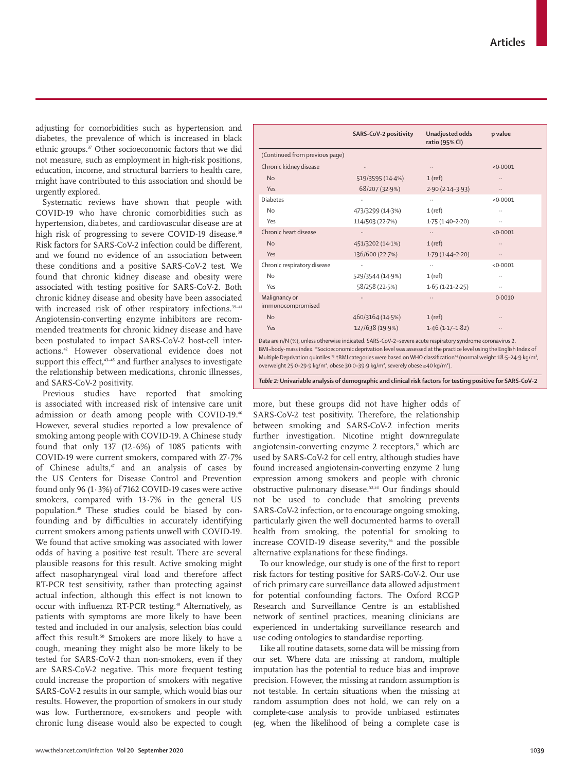www.thelancet.com/infection **Vol 20 September 2020 1039**

adjusting for comorbidities such as hypertension and diabetes, the prevalence of which is increased in black ethnic groups.37 Other socioeconomic factors that we did not measure, such as employment in high-risk positions, education, income, and structural barriers to health care, might have contributed to this association and should be urgently explored.

Systematic reviews have shown that people with COVID-19 who have chronic comorbidities such as hypertension, diabetes, and cardiovascular disease are at high risk of progressing to severe COVID-19 disease.<sup>38</sup> Risk factors for SARS-CoV-2 infection could be different, and we found no evidence of an association between these conditions and a positive SARS-CoV-2 test. We found that chronic kidney disease and obesity were associated with testing positive for SARS-CoV-2. Both chronic kidney disease and obesity have been associated with increased risk of other respiratory infections.<sup>39-41</sup> Angiotensin-converting enzyme inhibitors are recommended treatments for chronic kidney disease and have been postulated to impact SARS-CoV-2 host-cell interactions.42 However observational evidence does not support this effect**, 43–45** and further analyses to investigate the relationship between medications, chronic illnesses, and SARS-CoV-2 positivity.

Previous studies have reported that smoking is associated with increased risk of intensive care unit admission or death among people with COVID-19.46 However, several studies reported a low prevalence of smoking among people with COVID-19. A Chinese study found that only 137 (12·6%) of 1085 patients with COVID-19 were current smokers, compared with 27·7% of Chinese adults, $47$  and an analysis of cases by the US Centers for Disease Control and Prevention found only 96 (1·3%) of 7162 COVID-19 cases were active smokers, compared with 13·7% in the general US population.48 These studies could be biased by confounding and by difficulties in accurately identifying current smokers among patients unwell with COVID-19. We found that active smoking was associated with lower odds of having a positive test result. There are several plausible reasons for this result. Active smoking might affect nasopharyngeal viral load and therefore affect RT-PCR test sensitivity, rather than protecting against actual infection, although this effect is not known to occur with influenza RT-PCR testing.<sup>49</sup> Alternatively, as patients with symptoms are more likely to have been tested and included in our analysis, selection bias could affect this result.<sup>50</sup> Smokers are more likely to have a cough, meaning they might also be more likely to be tested for SARS-CoV-2 than non-smokers, even if they are SARS-CoV-2 negative. This more frequent testing could increase the proportion of smokers with negative SARS-CoV-2 results in our sample, which would bias our results. However, the proportion of smokers in our study was low. Furthermore, ex-smokers and people with chronic lung disease would also be expected to cough

|                                    | SARS-CoV-2 positivity | Unadjusted odds<br>ratio (95% CI) | p value  |
|------------------------------------|-----------------------|-----------------------------------|----------|
| (Continued from previous page)     |                       |                                   |          |
| Chronic kidney disease             |                       | $\cdots$                          | < 0.0001 |
| No                                 | 519/3595 (14-4%)      | $1$ (ref)                         |          |
| Yes                                | 68/207 (32.9%)        | $2.90(2.14-3.93)$                 | $\cdots$ |
| <b>Diabetes</b>                    |                       | $\ddotsc$                         | < 0.0001 |
| No                                 | 473/3299 (14.3%)      | $1$ (ref)                         |          |
| Yes                                | 114/503 (22.7%)       | $1.75(1.40-2.20)$                 |          |
| Chronic heart disease              |                       | $\ddotsc$                         | < 0.0001 |
| <b>No</b>                          | 451/3202 (14.1%)      | $1$ (ref)                         |          |
| Yes                                | 136/600 (22.7%)       | $1.79(1.44 - 2.20)$               |          |
| Chronic respiratory disease        |                       | $\ddotsc$                         | < 0.0001 |
| No                                 | 529/3544 (14.9%)      | $1$ (ref)                         |          |
| Yes                                | 58/258 (22.5%)        | $1.65(1.21 - 2.25)$               |          |
| Malignancy or<br>immunocompromised |                       | $\ldots$                          | 0.0010   |
| No                                 | 460/3164 (14.5%)      | $1$ (ref)                         |          |
| Yes                                | 127/638 (19.9%)       | $1.46(1.17-1.82)$                 |          |

Data are n/N (%), unless otherwise indicated. SARS-CoV-2=severe acute respiratory syndrome coronavirus 2. BMI=body-mass index. \*Socioeconomic deprivation level was assessed at the practice level using the English Index of Multiple Deprivation quintiles.<sup>23</sup> †BMI categories were based on WHO classification<sup>24</sup> (normal weight 18·5–24·9 kg/m<sup>2</sup>, overweight 25·0–29·9 kg/m², obese 30·0–39·9 kg/m², severely obese ≥40 kg/m²).

*Table 2:* **Univariable analysis of demographic and clinical risk factors for testing positive for SARS-CoV-2**

more, but these groups did not have higher odds of SARS-CoV-2 test positivity. Therefore, the relationship between smoking and SARS-CoV-2 infection merits further investigation. Nicotine might downregulate angiotensin-converting enzyme 2 receptors,<sup>51</sup> which are used by SARS-CoV-2 for cell entry, although studies have found increased angiotensin-converting enzyme 2 lung expression among smokers and people with chronic obstructive pulmonary disease.52,53 Our findings should not be used to conclude that smoking prevents SARS-CoV-2 infection, or to encourage ongoing smoking, particularly given the well documented harms to overall health from smoking, the potential for smoking to increase COVID-19 disease severity,<sup>46</sup> and the possible alternative explanations for these findings.

To our knowledge, our study is one of the first to report risk factors for testing positive for SARS-CoV-2. Our use of rich primary care surveillance data allowed adjustment for potential confounding factors. The Oxford RCGP Research and Surveillance Centre is an established network of sentinel practices, meaning clinicians are experienced in undertaking surveillance research and use coding ontologies to standardise reporting.

Like all routine datasets, some data will be missing from our set. Where data are missing at random, multiple imputation has the potential to reduce bias and improve precision. However, the missing at random assumption is not testable. In certain situations when the missing at random assumption does not hold, we can rely on a complete-case analysis to provide unbiased estimates (eg, when the likelihood of being a complete case is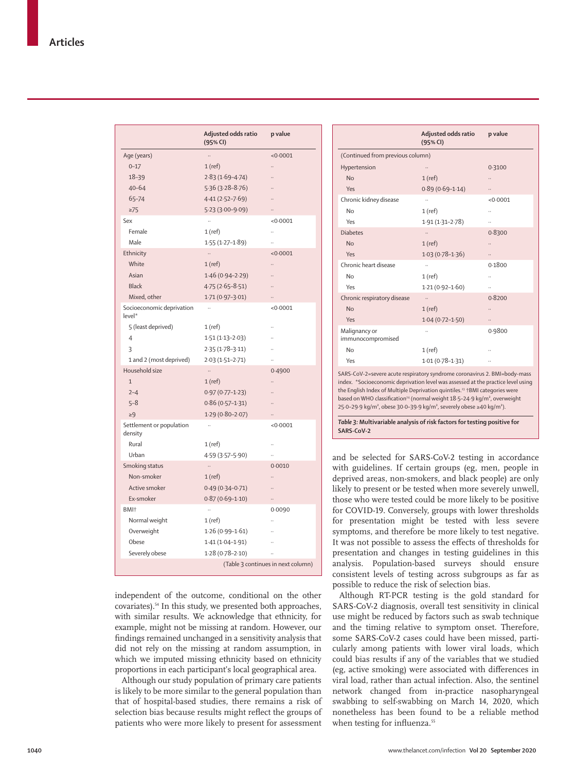|                                     | Adjusted odds ratio<br>(95% CI) | p value                            |
|-------------------------------------|---------------------------------|------------------------------------|
| Age (years)                         | $\ddotsc$                       | < 0.0001                           |
| $0 - 17$                            | 1 (ref)                         |                                    |
| 18-39                               | $2.83(1.69 - 4.74)$             |                                    |
| $40 - 64$                           | $5.36(3.28 - 8.76)$             |                                    |
| $65 - 74$                           | $4.41(2.52 - 7.69)$             |                                    |
| $\geq$ 75                           | $5.23(3.00 - 9.09)$             |                                    |
| Sex                                 | $\ddot{\phantom{a}}$            | < 0.0001                           |
| Female                              | 1 (ref)                         |                                    |
| Male                                | $1.55(1.27-1.89)$               |                                    |
| Ethnicity                           | $\ldots$                        | < 0.0001                           |
| White                               | $1$ (ref)                       |                                    |
| Asian                               | $1.46(0.94 - 2.29)$             |                                    |
| <b>Black</b>                        | $4.75(2.65 - 8.51)$             |                                    |
| Mixed, other                        | $1.71(0.97 - 3.01)$             |                                    |
| Socioeconomic deprivation<br>level* |                                 | < 0.0001                           |
| 5 (least deprived)                  | 1(ref)                          |                                    |
| $\overline{4}$                      | $1.51(1.13 - 2.03)$             |                                    |
| 3                                   | $2.35(1.78-3.11)$               |                                    |
| 1 and 2 (most deprived)             | $2.03(1.51 - 2.71)$             |                                    |
| Household size                      | $\ldots$                        | 0.4900                             |
| $\mathbf{1}$                        | $1$ (ref)                       |                                    |
| $2 - 4$                             | $0.97(0.77 - 1.23)$             |                                    |
| $5 - 8$                             | $0.86(0.57-1.31)$               |                                    |
| $\geq 9$                            | $1.29(0.80-2.07)$               |                                    |
| Settlement or population<br>density |                                 | < 0.0001                           |
| Rural                               | 1 (ref)                         |                                    |
| Urban                               | 4.59 (3.57-5.90)                |                                    |
| Smoking status                      | $\ldots$                        | 0.0010                             |
| Non-smoker                          | $1$ (ref)                       |                                    |
| Active smoker                       | $0.49(0.34 - 0.71)$             |                                    |
| Ex-smoker                           | $0.87(0.69 - 1.10)$             |                                    |
| BMI <sup>+</sup>                    |                                 | 0.0090                             |
| Normal weight                       | 1(ref)                          |                                    |
| Overweight                          | $1.26(0.99 - 1.61)$             |                                    |
| Obese                               | $1.41(1.04 - 1.91)$             |                                    |
| Severely obese                      | $1.28(0.78 - 2.10)$             |                                    |
|                                     |                                 | (Table 3 continues in next column) |

independent of the outcome, conditional on the other covariates).54 In this study, we presented both approaches, with similar results. We acknowledge that ethnicity, for example, might not be missing at random. However, our findings remained unchanged in a sensitivity analysis that did not rely on the missing at random assumption, in which we imputed missing ethnicity based on ethnicity proportions in each participant's local geographical area.

Although our study population of primary care patients is likely to be more similar to the general population than that of hospital-based studies, there remains a risk of selection bias because results might reflect the groups of patients who were more likely to present for assessment

|                                    | Adjusted odds ratio<br>(95% CI)                                                                                              | p value  |
|------------------------------------|------------------------------------------------------------------------------------------------------------------------------|----------|
| (Continued from previous column)   |                                                                                                                              |          |
| Hypertension                       |                                                                                                                              | 0.3100   |
| No                                 | $1$ (ref)                                                                                                                    |          |
| Yes                                | $0.89(0.69 - 1.14)$                                                                                                          |          |
| Chronic kidney disease             |                                                                                                                              | < 0.0001 |
| <b>No</b>                          | $1$ (ref)                                                                                                                    |          |
| Yes                                | $1.91(1.31 - 2.78)$                                                                                                          |          |
| <b>Diabetes</b>                    |                                                                                                                              | 0.8300   |
| No                                 | $1$ (ref)                                                                                                                    |          |
| Yes                                | $1.03(0.78 - 1.36)$                                                                                                          |          |
| Chronic heart disease              |                                                                                                                              | 0.1800   |
| No                                 | 1(ref)                                                                                                                       |          |
| Yes                                | $1.21(0.92 - 1.60)$                                                                                                          |          |
| Chronic respiratory disease        | $\ddotsc$                                                                                                                    | 0.8200   |
| No                                 | $1$ (ref)                                                                                                                    |          |
| Yes                                | $1.04(0.72 - 1.50)$                                                                                                          |          |
| Malignancy or<br>immunocompromised |                                                                                                                              | 0.9800   |
| <b>No</b>                          | $1$ (ref)                                                                                                                    |          |
| Yes                                | $1.01(0.78 - 1.31)$                                                                                                          |          |
| $1000 \times 100$                  | $\mathbf{r} = \mathbf{r} + \mathbf{r}$ and $\mathbf{r} = \mathbf{r} + \mathbf{r}$ and $\mathbf{r} = \mathbf{r} + \mathbf{r}$ |          |

SARS-CoV-2=severe acute respiratory syndrome coronavirus 2. BMI=bodyindex. \*Socioeconomic deprivation level was assessed at the practice level using the English Index of Multiple Deprivation quintiles.<sup>23</sup> †BMI categories were based on WHO classification<sup>24</sup> (normal weight 18·5-24·9 kg/m<sup>2</sup>, overweight 25·0–29·9 kg/m², obese 30·0–39·9 kg/m², severely obese ≥40 kg/m²).

*Table 3:* **Multivariable analysis of risk factors for testing positive for SARS-CoV-2**

and be selected for SARS-CoV-2 testing in accordance with guidelines. If certain groups (eg, men, people in deprived areas, non-smokers, and black people) are only likely to present or be tested when more severely unwell, those who were tested could be more likely to be positive for COVID-19. Conversely, groups with lower thresholds for presentation might be tested with less severe symptoms, and therefore be more likely to test negative. It was not possible to assess the effects of thresholds for presentation and changes in testing guidelines in this analysis. Population-based surveys should ensure consistent levels of testing across subgroups as far as possible to reduce the risk of selection bias.

Although RT-PCR testing is the gold standard for SARS-CoV-2 diagnosis, overall test sensitivity in clinical use might be reduced by factors such as swab technique and the timing relative to symptom onset. Therefore, some SARS-CoV-2 cases could have been missed, particularly among patients with lower viral loads, which could bias results if any of the variables that we studied (eg, active smoking) were associated with differences in viral load, rather than actual infection. Also, the sentinel network changed from in-practice nasopharyngeal swabbing to self-swabbing on March 14, 2020, which nonetheless has been found to be a reliable method when testing for influenza.<sup>55</sup>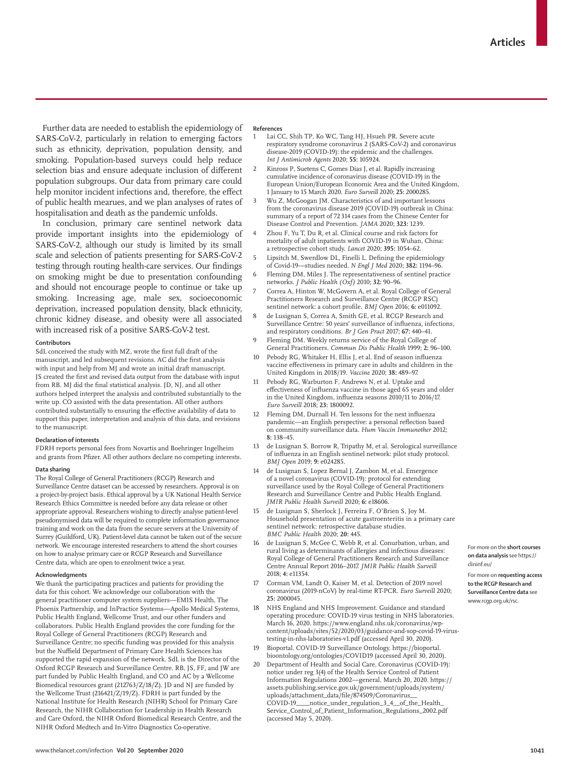Further data are needed to establish the epidemiology of SARS-CoV-2, particularly in relation to emerging factors such as ethnicity, deprivation, population density, and smoking. Population-based surveys could help reduce selection bias and ensure adequate inclusion of different population subgroups. Our data from primary care could help monitor incident infections and, therefore, the effect of public health mearues, and we plan analyses of rates of hospitalisation and death as the pandemic unfolds.

In conclusion, primary care sentinel network data provide important insights into the epidemiology of SARS-CoV-2, although our study is limited by its small scale and selection of patients presenting for SARS-CoV-2 testing through routing health-care services. Our findings on smoking might be due to presentation confounding and should not encourage people to continue or take up smoking. Increasing age, male sex, socioeconomic deprivation, increased population density, black ethnicity, chronic kidney disease, and obesity were all associated with increased risk of a positive SARS-CoV-2 test.

#### **Contributors**

SdL conceived the study with MZ, wrote the first full draft of the manuscript, and led subsequent revisions. AC did the first analysis with input and help from MJ and wrote an initial draft manuscript. JS created the first and revised data output from the database with input from RB. MJ did the final statistical analysis. JD, NJ, and all other authors helped interpret the analysis and contributed substantially to the write up. CO assisted with the data presentation. All other authors contributed substantially to ensuring the effective availability of data to support this paper, interpretation and analysis of this data, and revisions to the manuscript.

#### **Declaration of interests**

FDRH reports personal fees from Novartis and Boehringer Ingelheim and grants from Pfizer. All other authors declare no competing interests.

#### **Data sharing**

The Royal College of General Practitioners (RCGP) [Research and](www.rcgp.org.uk/rsc)  [Surveillance Centre dataset](www.rcgp.org.uk/rsc) can be accessed by researchers. Approval is on a project-by-project basis. Ethical approval by a UK National Health Service Research Ethics Committee is needed before any data release or other appropriate approval. Researchers wishing to directly analyse patient-level pseudonymised data will be required to complete information governance training and work on the data from the secure servers at the University of Surrey (Guildford, UK). Patient-level data cannot be taken out of the secure network. We encourage interested researchers to attend the [short courses](https://clininf.eu) on how to analyse primary care or RCGP Research and Surveillance Centre data, which are open to enrolment twice a year.

#### **Acknowledgments**

We thank the participating practices and patients for providing the data for this cohort. We acknowledge our collaboration with the general practitioner computer system suppliers—EMIS Health, The Phoenix Partnership, and InPractice Systems—Apollo Medical Systems, Public Health England, Wellcome Trust, and our other funders and collaborators. Public Health England provides the core funding for the Royal College of General Practitioners (RCGP) Research and Surveillance Centre; no specific funding was provided for this analysis but the Nuffield Department of Primary Care Health Sciences has supported the rapid expansion of the network. SdL is the Director of the Oxford RCGP Research and Surveillance Centre. RB, JS, FF, and JW are part funded by Public Health England, and CO and AC by a Wellcome Biomedical resources grant (212763/Z/18/Z). JD and NJ are funded by the Wellcome Trust (216421/Z/19/Z). FDRH is part funded by the National Institute for Health Research (NIHR) School for Primary Care Research, the NIHR Collaboration for Leadership in Health Research and Care Oxford, the NIHR Oxford Biomedical Research Centre, and the NIHR Oxford Medtech and In-Vitro Diagnostics Co-operative.

#### **References**

- Lai CC, Shih TP, Ko WC, Tang HJ, Hsueh PR. Severe acute respiratory syndrome coronavirus 2 (SARS-CoV-2) and coronavirus disease-2019 (COVID-19): the epidemic and the challenges. *Int J Antimicrob Agents* 2020; **55:** 105924.
- 2 Kinross P, Suetens C, Gomes Dias J, et al. Rapidly increasing cumulative incidence of coronavirus disease (COVID-19) in the European Union/European Economic Area and the United Kingdom, 1 January to 15 March 2020. *Euro Surveill* 2020; **25:** 2000285.
- Wu Z, McGoogan JM. Characteristics of and important lessons from the coronavirus disease 2019 (COVID-19) outbreak in China: summary of a report of 72 314 cases from the Chinese Center for Disease Control and Prevention. *JAMA* 2020; **323:** 1239.
- 4 Zhou F, Yu T, Du R, et al. Clinical course and risk factors for mortality of adult inpatients with COVID-19 in Wuhan, China: a retrospective cohort study. *Lancet* 2020; **395:** 1054–62.
- 5 Lipsitch M, Swerdlow DL, Finelli L. Defining the epidemiology of Covid-19—studies needed. *N Engl J Med* 2020; **382:** 1194–96.
- 6 Fleming DM, Miles J. The representativeness of sentinel practice networks. *J Public Health (Oxf)* 2010; **32:** 90–96.
- 7 Correa A, Hinton W, McGovern A, et al. Royal College of General Practitioners Research and Surveillance Centre (RCGP RSC) sentinel network: a cohort profile. *BMJ Open* 2016; **6:** e011092.
- de Lusignan S, Correa A, Smith GE, et al. RCGP Research and Surveillance Centre: 50 years' surveillance of influenza, infections, and respiratory conditions. *Br J Gen Pract* 2017; **67:** 440–41.
- 9 Fleming DM. Weekly returns service of the Royal College of General Practitioners. *Commun Dis Public Health* 1999; **2:** 96–100.
- Pebody RG, Whitaker H, Ellis J, et al. End of season influenza vaccine effectiveness in primary care in adults and children in the United Kingdom in 2018/19. *Vaccine* 2020; **38:** 489–97.
- 11 Pebody RG, Warburton F, Andrews N, et al. Uptake and effectiveness of influenza vaccine in those aged 65 years and older in the United Kingdom, influenza seasons 2010/11 to 2016/17. *Euro Surveill* 2018; **23:** 1800092.
- 12 Fleming DM, Durnall H. Ten lessons for the next influenza pandemic—an English perspective: a personal reflection based on community surveillance data. *Hum Vaccin Immunother* 2012; **8:** 138–45.
- 13 de Lusignan S, Borrow R, Tripathy M, et al. Serological surveillance of influenza in an English sentinel network: pilot study protocol. *BMJ Open* 2019; **9:** e024285.
- 14 de Lusignan S, Lopez Bernal J, Zambon M, et al. Emergence of a novel coronavirus (COVID-19): protocol for extending surveillance used by the Royal College of General Practitioners Research and Surveillance Centre and Public Health England. *JMIR Public Health Surveill* 2020; **6:** e18606.
- 15 de Lusignan S, Sherlock J, Ferreira F, O'Brien S, Joy M. Household presentation of acute gastroenteritis in a primary care sentinel network: retrospective database studies. *BMC Public Health* 2020; **20:** 445.
- 16 de Lusignan S, McGee C, Webb R, et al. Conurbation, urban, and rural living as determinants of allergies and infectious diseases: Royal College of General Practitioners Research and Surveillance Centre Annual Report 2016–2017. *JMIR Public Health Surveill* 2018; **4:** e11354.
- Corman VM, Landt O, Kaiser M, et al. Detection of 2019 novel coronavirus (2019-nCoV) by real-time RT-PCR. *Euro Surveill* 2020; **25:** 2000045.
- NHS England and NHS Improvement. Guidance and standard operating procedure: COVID-19 virus testing in NHS laboratories. March 16, 2020. https://www.england.nhs.uk/coronavirus/wpcontent/uploads/sites/52/2020/03/guidance-and-sop-covid-19-virustesting-in-nhs-laboratories-v1.pdf (accessed April 30, 2020).
- 19 Bioportal. COVID-19 Surveillance Ontology. https://bioportal. bioontology.org/ontologies/COVID19 (accessed April 30, 2020).
- 20 Department of Health and Social Care. Coronavirus (COVID-19): notice under reg 3(4) of the Health Service Control of Patient Information Regulations 2002—general. March 20, 2020. https:// assets.publishing.service.gov.uk/government/uploads/system/ uploads/attachment\_data/file/874509/Coronavirus\_\_ COVID-19\_\_\_\_notice\_under\_regulation\_3\_4\_\_of\_the\_Health\_ Service\_Control\_of\_Patient\_Information\_Regulations\_2002.pdf (accessed May 5, 2020).

For more on the **short courses on data analysis** see [https://](https://clininf.eu) [clininf.eu/](https://clininf.eu)

For more on **requesting access to the RCGP Research and Surveillance Centre data** see <www.rcgp.org.uk/rsc>.